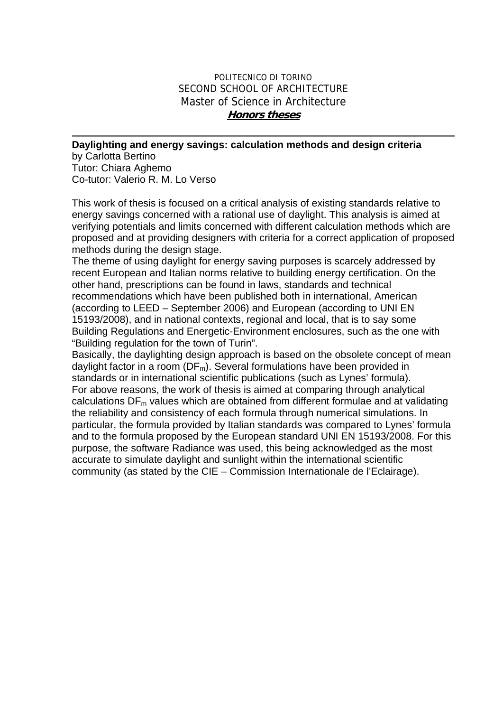## POLITECNICO DI TORINO SECOND SCHOOL OF ARCHITECTURE Master of Science in Architecture **Honors theses**

## **Daylighting and energy savings: calculation methods and design criteria**

by Carlotta Bertino Tutor: Chiara Aghemo Co-tutor: Valerio R. M. Lo Verso

This work of thesis is focused on a critical analysis of existing standards relative to energy savings concerned with a rational use of daylight. This analysis is aimed at verifying potentials and limits concerned with different calculation methods which are proposed and at providing designers with criteria for a correct application of proposed methods during the design stage.

The theme of using daylight for energy saving purposes is scarcely addressed by recent European and Italian norms relative to building energy certification. On the other hand, prescriptions can be found in laws, standards and technical recommendations which have been published both in international, American (according to LEED – September 2006) and European (according to UNI EN 15193/2008), and in national contexts, regional and local, that is to say some Building Regulations and Energetic-Environment enclosures, such as the one with "Building regulation for the town of Turin".

Basically, the daylighting design approach is based on the obsolete concept of mean daylight factor in a room ( $DF_m$ ). Several formulations have been provided in standards or in international scientific publications (such as Lynes' formula). For above reasons, the work of thesis is aimed at comparing through analytical calculations  $DF_m$  values which are obtained from different formulae and at validating the reliability and consistency of each formula through numerical simulations. In particular, the formula provided by Italian standards was compared to Lynes' formula and to the formula proposed by the European standard UNI EN 15193/2008. For this purpose, the software Radiance was used, this being acknowledged as the most accurate to simulate daylight and sunlight within the international scientific community (as stated by the CIE – Commission Internationale de l'Eclairage).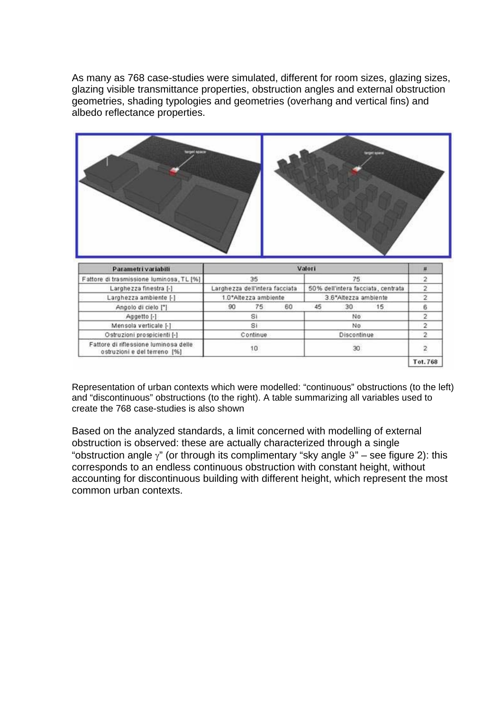As many as 768 case-studies were simulated, different for room sizes, glazing sizes, glazing visible transmittance properties, obstruction angles and external obstruction geometries, shading typologies and geometries (overhang and vertical fins) and albedo reflectance properties.



| Parametri variabili                                                   | Valori                         |    |                                    |             |    |    |          |
|-----------------------------------------------------------------------|--------------------------------|----|------------------------------------|-------------|----|----|----------|
| Fattore di trasmissione luminosa, TL [%]                              | 35                             |    | 75                                 |             |    |    |          |
| Larghezza finestra [-]                                                | Larghezza dell'intera facciata |    | 50% dell'intera facciata, centrata |             |    |    |          |
| Larghezza ambiente [-]                                                | 1.0*Altezza ambiente           |    | 3.6*Altezza ambiente               |             |    |    |          |
| Angolo di cielo [°]                                                   | 90                             | 75 | 60                                 | 45          | 30 | 15 |          |
| Aggetto [-]                                                           | SI                             |    | No                                 |             |    |    |          |
| Mensola verticale [-]                                                 | Si                             |    |                                    | No          |    |    |          |
| Ostruzioni prospicienti [-]                                           | Continue                       |    |                                    | Discontinue |    |    |          |
| Fattore di riflessione luminosa delle<br>ostruzioni e del terreno [%] | 10                             |    | 30                                 |             |    |    |          |
|                                                                       |                                |    |                                    |             |    |    | Tot. 768 |

Representation of urban contexts which were modelled: "continuous" obstructions (to the left) and "discontinuous" obstructions (to the right). A table summarizing all variables used to create the 768 case-studies is also shown

Based on the analyzed standards, a limit concerned with modelling of external obstruction is observed: these are actually characterized through a single "obstruction angle  $\gamma$ " (or through its complimentary "sky angle  $9$ " – see figure 2): this corresponds to an endless continuous obstruction with constant height, without accounting for discontinuous building with different height, which represent the most common urban contexts.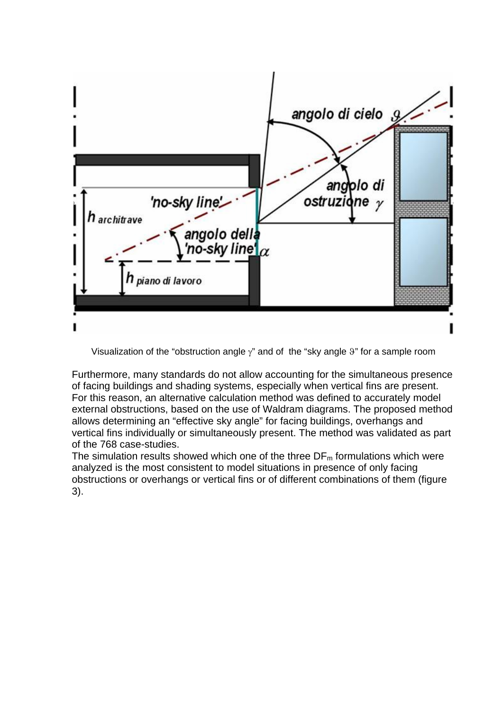|                                                                  | angolo di cielo 9                       |  |
|------------------------------------------------------------------|-----------------------------------------|--|
|                                                                  |                                         |  |
| 'no-sky line'<br>1 architrave<br>angolo della<br>,'no-sky line¶α | $\sim$ angolo di<br>ostruzione $\gamma$ |  |
| <b>n</b> piano di lavoro                                         |                                         |  |
|                                                                  |                                         |  |

Visualization of the "obstruction angle  $\gamma$ " and of the "sky angle  $9$ " for a sample room

Furthermore, many standards do not allow accounting for the simultaneous presence of facing buildings and shading systems, especially when vertical fins are present. For this reason, an alternative calculation method was defined to accurately model external obstructions, based on the use of Waldram diagrams. The proposed method allows determining an "effective sky angle" for facing buildings, overhangs and vertical fins individually or simultaneously present. The method was validated as part of the 768 case-studies.

The simulation results showed which one of the three  $DF_m$  formulations which were analyzed is the most consistent to model situations in presence of only facing obstructions or overhangs or vertical fins or of different combinations of them (figure 3).